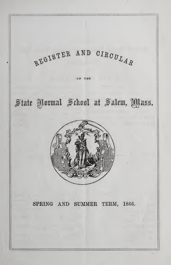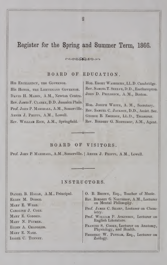# Register for the Spring and Summer Term, 1866.

# BOARD OF EDUCATION.

ccocomosy

HIS EXCELLENCY, THE GOVERNOR. His HONOR, THE LIEUTENANT GOVERNOR. DAVID H. MASON, A.M., Newton Centre. Rev. James F. Clarke, D.D. Jamaica Plain. Prof. JOHN P. MARSHALL, A.M., Somerville. Abner J. Phipps, A.M., Lowell. Rev. William Rice, A.M., Springfield.

Hon. EMORY WASHBURN, LL.D. Cambridge. Rev. Samuel T. Seelye, D.D., Easthampton. JOHN D. PHILBRICK, A.M., Boston.

Hon. JOSEPH WHITE, A. M., Secretary. Rev. Samuel C. Jackson, D.D., Assist. Sec. George B. Emerson, LL.D., Treasurer. Rev. BIRDSEY G. NORTHROP, A.M., Agent.

# BOARD OF VISITORS.

Prof. John P.Marshall, A.M., Somerville. <sup>|</sup> Abner J. Phipps, A.M., Lowell.

# INSTRUCTORS.

DANIEL B. HAGAR, A.M., Principal. Ellen M. Dodge. MARY E. WEBB. Caroline J. Cole. MARY E. GODDEN. Mary N. Plumer. Ellen A. Chandler. MARY E. NASH. Isabel C. Tenney.

0. B. Brown, Esq., Teacher of Music.

- Rev. Birdsey G. Northrop, A.M., Lecturer on Mental Philosophy.
- Prof. James C. Sharp, Lecturer on Chemistry.
- Prof. WILLIAM P. ATKINSON, Lecturer on English Literature.

Frances S. Cooke, Lecturer on Anatomy, Physiology, and Health.

Frederic W. Putnam, Esq., Lecturer on Zoology.

 $\overline{2}$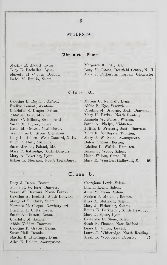#### STUDENTS.

## Adnanced Class.

Martha E. Abbott, Lynn. Margaret B. Fitz, Salem. Isabel M. Emilio, Salem. 7

Lucy E. Bacheller, Lynn. Lucy M. James, Deerfield Centre, N. H. Marzette H. Coburn, Dracut. Mary J. Parker, Annisquam, Gloucester.

# $0$  $1$ ass  $A$ .

Caroline E. Boyden, Oxford. | Marion G. Newhall, Lynn. Eveline Conant, Wenham. Abbie F. Nye, Sandwich. Charlotte E. Draper, Salem. Caroline M. Osborne, South Danvers. Abby D. Esty, Middleton. Mary U. Parker, North Reading. Sarah C. Gilbert, Swampscott. Amanda W. Peirce, Weston. Susan M. Glover, Salem. Sarah A. Phelps, Middleton. Helen M. Graves, Marblehead.  $j$  Julitta E. Prescott, South Danvers. Williamine S. Green, Stoneham. Mary R. Southgate, Taunton. Lucy L. Holden, West Concord, N. H. | Mary J. W. Stone, Swampscott. Ellen R. Hull, Millbury. Helen Tincker, Boston. Susan Jordan, Poland, Me.<br>
Adeline E. Wallis, Hamilton. Mary F. Kittredge, South Danvers. | Emma J. Webb, Salem. Mary A. Lovering, Lynn. | Helen Wilson, Como, Ill.

Esther L. Merriam, North Tewksbury. | Mary E. Winslow, Hallowell, Me. 28

### Class B.

Lucy J. Bacon, Boston. (Georgiana Lewis, Salem.) Emma R. G. Barr, Danvers. | Linella Lewis, Salem. Sarah W. Barrows, North Easton. | Julia M. Mann, Salem. Caroline A. Beckett, South Danvers. | Nerissa J. McLoud, Boston. Margaret L. Clark, Salem. Eliza A. Melzeard, Salem. Florence M. Cooper, Newburyport. Mary J. Pickering, Salem. Susan A. Dutton, Acton. | Mary J. Spear, Lynn. Charlotte M. Echols. (Catherine D. Stone, Salem.) Abbie Glidden, Danvers. Sarah E. Thomas, New Bedford. Caroline P. Graves, Salem. | Leora L. Upton, Lowell. Alice E. Holden, Swampscott.

Priscilla L. Cutts, Lynn. | Emma E. Purington, South Reading. Susan Hall, Dennis. Laura J. Whittredge, North Reading. Martha B. Hitchings, Lynn. (Sarah L. Woodberry, Beverly. 27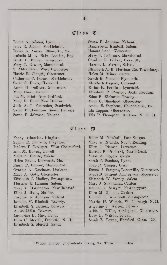## Class C.

Lucy E. Adams, Marblehead. | Hannahetta Kimball, Salem. Elvira L. Austin, Ellsworth, Me. Honora Lane, Gloucester. Isabella M. A. Bain, London, Eng. | Mary J. Lefavour, Marblehead. Emily C. Binney, Amesbury. Caroline E. Libbey, Gray, Me. Mary C. Bowler, Marblehead. Harriet L. Martin, Salem. Hattie B. Clough, Gloucester. | Helen M. Miner, Salem. Catherine F. Corner, Marblehead. Sarah B. Morton, Plymouth. Sarah S. Davis, Haverhill. Elizabeth Osgood, Cohasset. Annie H. Dolliver, Gloucester. | Esther R. Perkins, Lynnfield. Ida M. Eliot, New Bedford. Edna B. Richards, Rowley. Mary R. Eliot, New Bedford. | Mary O. Shepherd, Gloucester. Sarah P. Hamilton, South Danvers. | Ida Tappan, Gloucester.

Emma A. Adams, Lynn. | Susan F. Johnson, Nahant. S. Abby Bray, West Gloucester. | Elizabeth A. B. Merriam, No. Tewksbury. Mary Dunn, Salem. Elizabeth R. Preston, South Reading. Julia A. C. Fessenden, Sandwich. Annie B. Stephens, Philadelphia, Pa. Sarah E. Johnson, Nahant. [Ella P. Thompson, Durham, N. H. 34.]

#### Class D.

Fanny Ashenden. Hingham. | Helen M. Newhall, East Saugus. Sophia E. Baldwin, Brighton. | Mary A. Nichols, North Reading. Isadora F. Blodgett, West Chelmsford. | Ellen A. Pierson, Lawrence. Ann M. Bowen, Lowell. Harriet P. Prichard, Marblehead. Mary A. Clarke, Salem. Susan K. Rogers, Salem. Helen Eaton, Ellsworth, Me. Sarah J. Sanders, Lynn. Emily P. Garney, Marblehead. Jane R. Sanger, Lynn. Elizabeth J. Iladley, Swampscott. Elizabeth W. Savory, Salem. Florence E. Hannan, Salem. | Mary J. Shankland, Canton. Mary V. Harrington, New Bedford. Hannah L. Sawyer, Newburyport. Ellen J. Hunt, Maiden. Eliza M. Upham, Chelsea. Caroline A. Johnson, Nahant. | Hannah J. Wardwell, Swampscott. Elizabeth S. Lerned, Danvers. | Angeline S. Wilcox, Beverly. Catherine D. May, Lynn. Lucy B. Wilson, Salem. Elizabeth S. Merritt, Salem.

Cynthia A. Goodnow, Littleton. | Emma J. Sargent, Lanesville, Gloucester. Mary A. Gott, Gloucester. Grace D. Sargent, Annisquam, Gloucester. Isabella M. Kimball, Beverly. Martha H. Wiggin, Wolfborough, N. H. Annie Liffen, Beverly. Alida C. Willis, Annisquam, Gloucester. Eliza H. Merrill, Franklin, N. H. Sarah E. Young, Hartford, Conn. 39.

Whole number of Students during the Term........135.

#### 4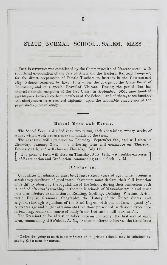STATE NORMAL SCHOOL....SALEM, MASS.

This Institution" was established by the Commonwealth of Massachusetts, with the liberal co-operation of the City of Salem and the Eastern Railroad Company, for the direct preparation of Female Teachers to instruct in the Common and High Schools required by law. It is under the charge of the State Board of Education, and of a special Board\* of Visitors. During the period that has elapsed since the reception of the first Class, in September, 1854, nine hundred and fifty-six Ladies have been members of the School ; and of these, three hundred and ninety-seven have received diplomas, upon the honorable completion of the prescribed course of study.

#### School Fear and Terms.

The School Year is divided into two terms, each containing twenty weeks of study, with a week's recess near the middle of the term.

The next term will commence on Thursday, September 6th, and will close on Thursday, January 31st. The following term will commence on Thursday, February 14th, and will close on Thursday, July 11th.

The present term will close on Thursday, July 12th, with public exercises of Examination and Graduation, commencing at 9 o'clock, A. M.

#### Admission.

Candidates for admission must be at least sixteen years of age ; must present a satisfactory certificate of good moral character; must declare their full intention of faithfully observing the regulations of the School, during their connection with it, and of afterwards teaching in the public schools of Massachusetts ;\* and must pass a satisfactory examination in Reading, Spelling, Defining, Writing, Arithmetic, English Grammar, Geography, the History of the United States, and Algebra (through Equations of the First Degree with one unknown quantity). A greater age and higher attainments than those prescribed, with some experience in teaching, render the course of study in the Institution still more useful.

The Examination for admission takes place on Thursday, the first day of each term, commencing at 8 o'clock, A. M., or as soon after that hour as the Candidates

\* Ladies designing to teach in other States or in private schools may be admitted by paying \$15 a term for tuition.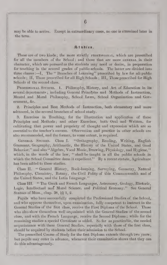may be able to arrive. Except in extraordinary cases, no one is examined later in the term.

#### Studies.

These are of two kinds; the more strictly **PROFESSIONAL**, which are prescribed for all the members of the School; and those that are more GENERAL in their character, which are pursued as the students may need or desire, in preparation for teaching in the several grades of public schools. The latter are divided into three classes :—I, The "Branches of Learning" prescribed by law for all public schools ; II, Those prescribed for all High Schools ; III, Those prescribed for High Schools of the second class.

PROFESSIONAL STUDIES. 1. Philosophy, History, and Art of Education in its several departments; including General Principles and Methods of Instruction, Mental and Moral Philosophy, School Laws, School Organization and Government, &c.

2. Principles and Best Methods of Instruction, both elementary and more advanced, in the several branches of school study.

Exercises in Teaching, for the illustration and application of these Principles and Methods ; and other Exercises, both Oral and Written, for cultivating that power and propriety of thought and expression which are so essential to the teacher's success. Observation and practice in other schools are also recommended, and the former, to some extent, is required.

GENERAL STUDIES. Class I. "Orthography, Reading, Writing, English Grammar, Geography, Arithmetic, the History of the United States, and Good Behavior;" and also "Algebra, Vocal Music, Drawing, Physiology, and Hygiene." which, in the words of the law, " shall be taught in all the public schools in which the School Committee deem it expedient.'' By a recent statute, Agriculture has been added to these studies.

Class II. "General History, Book-keeping, Surveying, Geometry, Natural Philosophy, Chemistry, Botany, the Civil Polity of this Commonwealth and of the United States, and the Latin Language."

Class III. "The Greek and French Languages, Astronomy, Geology, Rhetoric, Logic, Intellectual and Moral Science, and Political Economy." See General Statues of Mass., chap. 38,  $\S$  $1, 2$ .

Pupils who have successfully completed the Professional Studies of the School, and who approve themselves, upon examination, fully competent to instruct in the General Studies of the first class, receive the First Diploma of the School. Those who also show themselves well acquainted with the General Studies of the second class, and with the French Language, receive the Second Diploma ; while for the remaining studies a special Certificate is added. So far as practicable, the needed acquaintance with these General Studies, especially with those of the first class, should be acquired by students before their admission to the School.

The prescribed Course of Study for the first Diploma extends through two years ; but pupils may enter in advance, whenever their examination shows that they can do this advantageously.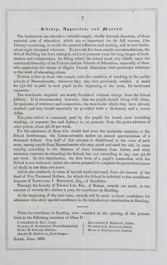#### Hfbrarjt Apparatus, au^ fHuseum.

The Institution has already a valuable supply, chiefly through donation, of these material aids of education, which are so important for its full success, (the Library containing, in works for general reference and reading, and in text-books, about eight thousand volumes). To provide for them ampler accommodations, the School Building has been enlarged, and now presents room for long ranges of bookshelves and cabinet-cases, for filling which the school must rely chiefly upon the continued liberality of its Friends and the Friends of Education, especially of those who appreciate the claims of Higher Female Education with particular reference to the work of educating others.

Tuition is free to those who comply with the condition of teaching in the public schools of Massachusetts, wherever they may have previously resided. A small fee (\$1.50) is paid by each pupil at the beginning of the term, for incidental expenses.

The text-books required are mostly furnished without charge from the School Library. It is recommended, however, that the pupils should bring with them, for purposes of reference and comparison, the text-books which they have already studied; and they should especially be provided with a dictionary and a recent Atlas.

The price which is commonly paid by the pupils for board, (not including washing, or separate fire and lights,) is, at present, from the great advance of other prices, about \$3.50 per week.

For the assistance of those who would find even the moderate expenses of the School burdensome, the Commonwealth makes an annual appropriation of a thousand dollars. One half of this amount is distributed at the close of each term, among pupils from Massachusetts who may merit and need the aid, in sums varying according to the distance of their residence from Salem, and their necessary expenses in attending the School, but not exceeding in any case \$1.50 per week. In this distribution, the first term of a pupil's connection with the School is not reckoned, unless she enters prepared to complete the prescribed course of study in less than two years.

Aid is also rendered, in cases of special merit and need, from the income of the fund of Five Thousand Dollars, for which the School is indebted to the munificent bequest of Nathaniel I. Bowditch, Esq., of Brookline.

Through the bounty of Thomas Lee, Esq., of Boston, awards are made, to the amount of seventy-five dollars a year, for excellence in Reading.

At the beginning of the next term, awards will be made to those candidates for admission who show special excellence in the introductory examination in Reading.

Prizes for excellence in Reading were awarded at the opening of the present term to the following members of Class D :

Catharine D. May, Lynn. ISADORA F. BLODGETT, West Chelmsford. Eliza M. Upham, Chelsea. Helen M. Newhall, East Saugus.

ELIZABETH S. MERRITT, Salem. Florence E. Hannan, Salem. MARY I. SHANKLAND, Canton.

Salem, June, 1866.